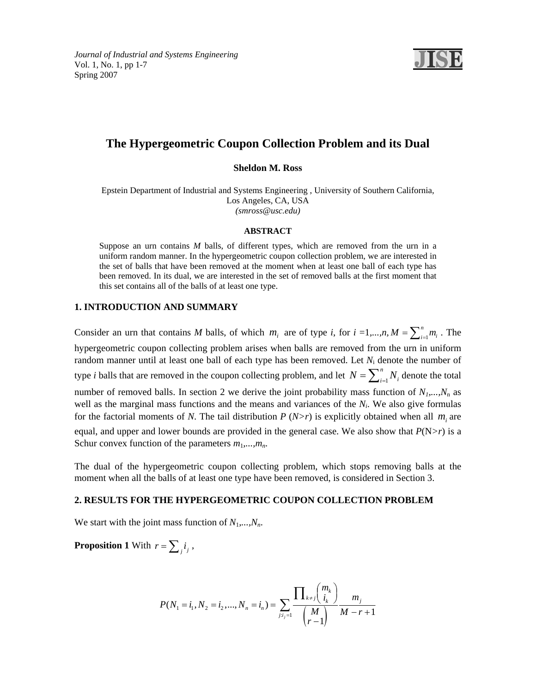

# **The Hypergeometric Coupon Collection Problem and its Dual**

**Sheldon M. Ross** 

Epstein Department of Industrial and Systems Engineering , University of Southern California, Los Angeles, CA, USA *(smross@usc.edu)* 

#### **ABSTRACT**

Suppose an urn contains *M* balls, of different types, which are removed from the urn in a uniform random manner. In the hypergeometric coupon collection problem, we are interested in the set of balls that have been removed at the moment when at least one ball of each type has been removed. In its dual, we are interested in the set of removed balls at the first moment that this set contains all of the balls of at least one type.

## **1. INTRODUCTION AND SUMMARY**

Consider an urn that contains *M* balls, of which  $m_i$  are of type *i*, for  $i = 1,...,n$ ,  $M = \sum_{i=1}^{n} m_i$ . The hypergeometric coupon collecting problem arises when balls are removed from the urn in uniform random manner until at least one ball of each type has been removed. Let *N*i denote the number of type *i* balls that are removed in the coupon collecting problem, and let  $N = \sum_{i=1}^{n}$  $N = \sum_{i=1}^{n} N_i$  denote the total number of removed balls. In section 2 we derive the joint probability mass function of  $N_1, ..., N_n$  as well as the marginal mass functions and the means and variances of the *Ni*. We also give formulas for the factorial moments of *N*. The tail distribution *P* (*N>r*) is explicitly obtained when all  $m_i$  are equal, and upper and lower bounds are provided in the general case. We also show that  $P(N>r)$  is a Schur convex function of the parameters  $m_1, \ldots, m_n$ .

The dual of the hypergeometric coupon collecting problem, which stops removing balls at the moment when all the balls of at least one type have been removed, is considered in Section 3.

## **2. RESULTS FOR THE HYPERGEOMETRIC COUPON COLLECTION PROBLEM**

We start with the joint mass function of  $N_1, \ldots, N_n$ .

**Proposition 1** With  $r = \sum_j i_j$ ,

$$
P(N_1 = i_1, N_2 = i_2, ..., N_n = i_n) = \sum_{j:i_j=1}^{n} \frac{\prod_{k \neq j} {m_k \choose i_k}}{\binom{M}{r-1}} \frac{m_j}{M-r+1}
$$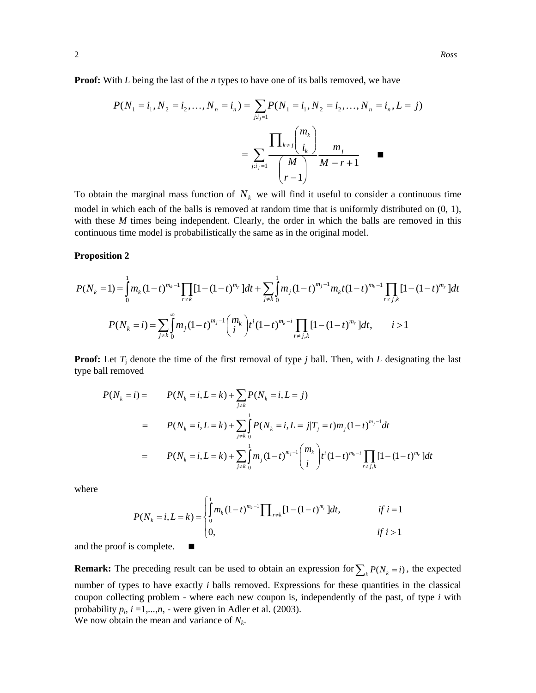**Proof:** With *L* being the last of the *n* types to have one of its balls removed, we have

$$
P(N_1 = i_1, N_2 = i_2, ..., N_n = i_n) = \sum_{j:i_j=1}^{n} P(N_1 = i_1, N_2 = i_2, ..., N_n = i_n, L = j)
$$

$$
= \sum_{j:i_j=1}^{n} \frac{\prod_{k \neq j} {m_k \choose i_k}}{\binom{m_k}{r-1}} \frac{m_j}{M-r+1}
$$

To obtain the marginal mass function of  $N_k$  we will find it useful to consider a continuous time model in which each of the balls is removed at random time that is uniformly distributed on (0, 1), with these *M* times being independent. Clearly, the order in which the balls are removed in this continuous time model is probabilistically the same as in the original model.

#### **Proposition 2**

$$
P(N_k = 1) = \int_0^1 m_k (1-t)^{m_k - 1} \prod_{r \neq k} [1 - (1-t)^{m_r}] dt + \sum_{j \neq k} \int_0^1 m_j (1-t)^{m_j - 1} m_k t (1-t)^{m_k - 1} \prod_{r \neq j,k} [1 - (1-t)^{m_r}] dt
$$
  

$$
P(N_k = i) = \sum_{j \neq k} \int_0^\infty m_j (1-t)^{m_j - 1} {m_k \choose i} t^i (1-t)^{m_k - i} \prod_{r \neq j,k} [1 - (1-t)^{m_r}] dt, \qquad i > 1
$$

**Proof:** Let  $T_i$  denote the time of the first removal of type *j* ball. Then, with *L* designating the last type ball removed

$$
P(N_k = i) = P(N_k = i, L = k) + \sum_{j \neq k} P(N_k = i, L = j)
$$
  
= 
$$
P(N_k = i, L = k) + \sum_{j \neq k} \int_{0}^{1} P(N_k = i, L = j | T_j = t) m_j (1 - t)^{m_j - 1} dt
$$
  
= 
$$
P(N_k = i, L = k) + \sum_{j \neq k} \int_{0}^{1} m_j (1 - t)^{m_j - 1} {m_k \choose i} t^i (1 - t)^{m_k - i} \prod_{r \neq j,k} [1 - (1 - t)^{m_r}] dt
$$

where  
\n
$$
P(N_k = i, L = k) = \begin{cases} \int_0^1 m_k (1-t)^{m_k - 1} \prod_{r \neq k} [1 - (1-t)^{m_r}] dt, & \text{if } i = 1 \\ 0, & \text{if } i > 1 \end{cases}
$$

and the proof is complete.

**Remark:** The preceding result can be used to obtain an expression for  $\sum_{k} P(N_k = i)$ , the expected number of types to have exactly *i* balls removed. Expressions for these quantities in the classical coupon collecting problem - where each new coupon is, independently of the past, of type *i* with probability  $p_i$ ,  $i = 1,...,n$ , - were given in Adler et al. (2003). We now obtain the mean and variance of *Nk*.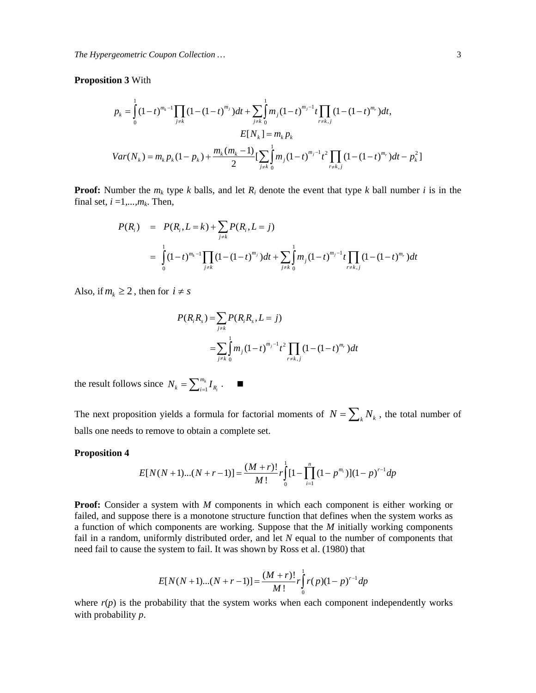## **Proposition 3** With

$$
p_{k} = \int_{0}^{1} (1-t)^{m_{k}-1} \prod_{j \neq k} (1-(1-t)^{m_{j}})dt + \sum_{j \neq k} \int_{0}^{1} m_{j} (1-t)^{m_{j}-1} t \prod_{r \neq k, j} (1-(1-t)^{m_{r}})dt,
$$
  
\n
$$
E[N_{k}] = m_{k} p_{k}
$$
  
\n
$$
Var(N_{k}) = m_{k} p_{k} (1-p_{k}) + \frac{m_{k}(m_{k}-1)}{2} [\sum_{j \neq k} \int_{0}^{1} m_{j} (1-t)^{m_{j}-1} t^{2} \prod_{r \neq k, j} (1-(1-t)^{m_{r}})dt - p_{k}^{2}]
$$

**Proof:** Number the  $m_k$  type  $k$  balls, and let  $R_i$  denote the event that type  $k$  ball number  $i$  is in the final set,  $i = 1, \ldots, m_k$ . Then,

$$
P(R_i) = P(R_i, L = k) + \sum_{j \neq k} P(R_i, L = j)
$$
  
= 
$$
\int_{0}^{1} (1-t)^{m_k - 1} \prod_{j \neq k} (1 - (1-t)^{m_j}) dt + \sum_{j \neq k} \int_{0}^{1} m_j (1-t)^{m_j - 1} t \prod_{r \neq k, j} (1 - (1-t)^{m_r}) dt
$$

Also, if  $m_k \geq 2$ , then for  $i \neq s$ 

$$
P(R_i R_s) = \sum_{j \neq k} P(R_i R_s, L = j)
$$
  
= 
$$
\sum_{j \neq k} \int_{0}^{1} m_j (1-t)^{m_j - 1} t^2 \prod_{r \neq k, j} (1 - (1-t)^{m_r}) dt
$$

the result follows since  $N_k = \sum_{i=1}^{m_k}$ *i*  $N_k = \sum_{i=1}^{m_k} I_{R_i}$ .  $\blacksquare$ 

The next proposition yields a formula for factorial moments of  $N = \sum_{k} N_k$ , the total number of balls one needs to remove to obtain a complete set.

# **Proposition 4**

$$
E[N(N+1)...(N+r-1)] = \frac{(M+r)!}{M!}r\int_{0}^{1}[1-\prod_{i=1}^{n}(1-p^{m_i})](1-p)^{r-1}dp
$$

1

**Proof:** Consider a system with *M* components in which each component is either working or failed, and suppose there is a monotone structure function that defines when the system works as a function of which components are working. Suppose that the *M* initially working components fail in a random, uniformly distributed order, and let *N* equal to the number of components that need fail to cause the system to fail. It was shown by Ross et al. (1980) that

$$
E[N(N+1)...(N+r-1)] = \frac{(M+r)!}{M!}r\int_{0}^{1} r(p)(1-p)^{r-1}dp
$$

where  $r(p)$  is the probability that the system works when each component independently works with probability *p*.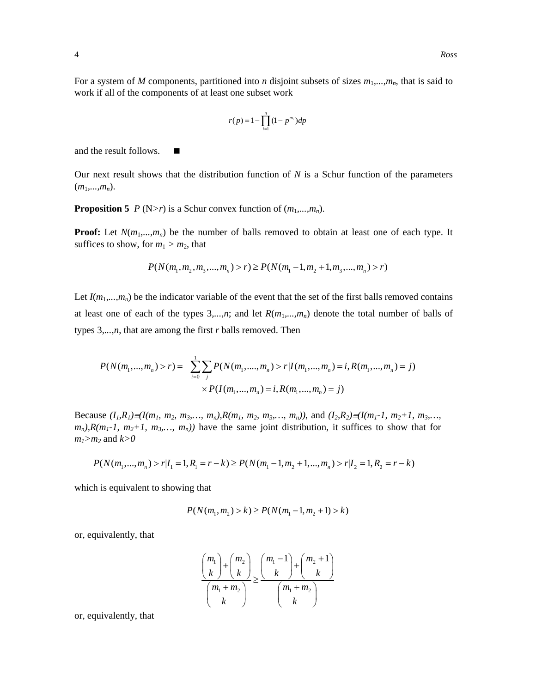For a system of *M* components, partitioned into *n* disjoint subsets of sizes  $m_1, ..., m_n$ , that is said to work if all of the components of at least one subset work

$$
r(p) = 1 - \prod_{i=1}^{n} (1 - p^{m_i}) dp
$$

and the result follows.

Our next result shows that the distribution function of *N* is a Schur function of the parameters  $(m_1,...,m_n)$ .

**Proposition 5** *P* (N>*r*) is a Schur convex function of  $(m_1,...,m_n)$ .

**Proof:** Let  $N(m_1,...,m_n)$  be the number of balls removed to obtain at least one of each type. It suffices to show, for  $m_1 > m_2$ , that

$$
P(N(m_1, m_2, m_3, ..., m_n) > r) \ge P(N(m_1 - 1, m_2 + 1, m_3, ..., m_n) > r)
$$

Let  $I(m_1,...,m_n)$  be the indicator variable of the event that the set of the first balls removed contains at least one of each of the types  $3, \ldots, n$ ; and let  $R(m_1, \ldots, m_n)$  denote the total number of balls of types 3*,...,n*, that are among the first *r* balls removed. Then

$$
P(N(m_1, ..., m_n) > r) = \sum_{i=0}^{1} \sum_{j} P(N(m_1, ..., m_n) > r | I(m_1, ..., m_n) = i, R(m_1, ..., m_n) = j)
$$
  
 
$$
\times P(I(m_1, ..., m_n) = i, R(m_1, ..., m_n) = j)
$$

Because  $(I_1, R_1) \equiv I(m_1, m_2, m_3, \ldots, m_n)$ ,  $R(m_1, m_2, m_3, \ldots, m_n)$ ), and  $(I_2, R_2) \equiv I(m_1 - 1, m_2 + 1, m_3, \ldots, m_n)$  $m_n$ ,  $R(m_1-1, m_2+1, m_3, \ldots, m_n)$  have the same joint distribution, it suffices to show that for  $m_1 > m_2$  and  $k > 0$ 

$$
P(N(m_1,...,m_n) > r | I_1 = 1, R_1 = r - k) \ge P(N(m_1 - 1, m_2 + 1,...,m_n) > r | I_2 = 1, R_2 = r - k)
$$

which is equivalent to showing that

$$
P(N(m_1, m_2) > k) \ge P(N(m_1 - 1, m_2 + 1) > k)
$$

or, equivalently, that

$$
\frac{\binom{m_1}{k} + \binom{m_2}{k}}{\binom{m_1 + m_2}{k}} \ge \frac{\binom{m_1 - 1}{k} + \binom{m_2 + 1}{k}}{\binom{m_1 + m_2}{k}}
$$

or, equivalently, that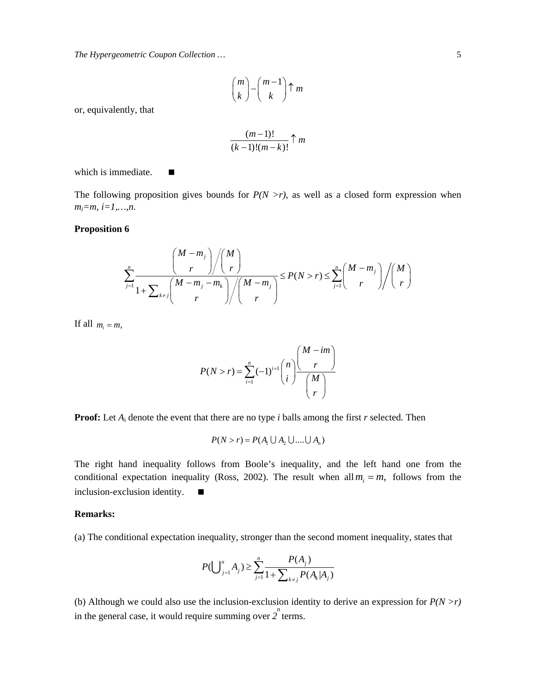*The Hypergeometric Coupon Collection …* 5

$$
\binom{m}{k} - \binom{m-1}{k} \uparrow m
$$

or, equivalently, that

$$
\frac{(m-1)!}{(k-1)!(m-k)!}\uparrow m
$$

which is immediate.  $\blacksquare$ 

The following proposition gives bounds for  $P(N > r)$ , as well as a closed form expression when *mi=m, i=1,…,n.* 

## **Proposition 6**

$$
\sum_{j=1}^n \frac{\binom{M-m_j}{r}\binom{M}{r}}{1+\sum_{k\neq j}\binom{M-m_j-m_k}{r}\binom{M-m_j}{r}}\leq P(N>r)\leq \sum_{j=1}^n \binom{M-m_j}{r}\binom{M}{r}
$$

If all  $m_i = m$ ,

$$
P(N>r) = \sum_{i=1}^{n} (-1)^{i+1} {n \choose i} \frac{M - im}{M \choose r}
$$

**Proof:** Let *A*i denote the event that there are no type *i* balls among the first *r* selected. Then

$$
P(N > r) = P(A_1 \cup A_2 \cup .... \cup A_n)
$$

The right hand inequality follows from Boole's inequality, and the left hand one from the conditional expectation inequality (Ross, 2002). The result when all  $m_i = m$ , follows from the inclusion-exclusion identity.

## **Remarks:**

(a) The conditional expectation inequality, stronger than the second moment inequality, states that

$$
P(\bigcup_{j=1}^{n} A_j) \ge \sum_{j=1}^{n} \frac{P(A_j)}{1 + \sum_{k \ne j} P(A_k | A_j)}
$$

(b) Although we could also use the inclusion-exclusion identity to derive an expression for *P(N >r)* in the general case, it would require summing over  $2^n$  terms.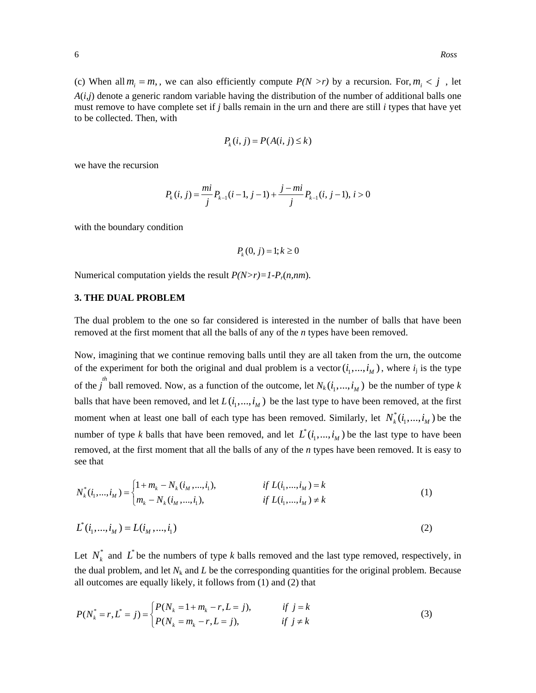(c) When all  $m_i = m$ , we can also efficiently compute  $P(N > r)$  by a recursion. For,  $m_i < j$ , let *A*(*i,j*) denote a generic random variable having the distribution of the number of additional balls one must remove to have complete set if *j* balls remain in the urn and there are still *i* types that have yet to be collected. Then, with

$$
P_k(i, j) = P(A(i, j) \le k)
$$

we have the recursion

$$
P_k(i, j) = \frac{mi}{j} P_{k-1}(i - 1, j - 1) + \frac{j - mi}{j} P_{k-1}(i, j - 1), i > 0
$$

with the boundary condition

$$
P_k(0,j) = 1; k \ge 0
$$

Numerical computation yields the result *P(N>r)=1*-*Pr*(*n,nm*).

## **3. THE DUAL PROBLEM**

The dual problem to the one so far considered is interested in the number of balls that have been removed at the first moment that all the balls of any of the *n* types have been removed.

Now, imagining that we continue removing balls until they are all taken from the urn, the outcome of the experiment for both the original and dual problem is a vector  $(i_1, ..., i_M)$ , where  $i_j$  is the type of the  $j^{th}$  ball removed. Now, as a function of the outcome, let  $N_k$  ( $i_1, ..., i_M$ ) be the number of type k balls that have been removed, and let  $L(i_1,...,i_M)$  be the last type to have been removed, at the first moment when at least one ball of each type has been removed. Similarly, let  $N_k^*(i_1,...,i_M)$  be the number of type *k* balls that have been removed, and let  $L^*(i_1, ..., i_M)$  be the last type to have been removed, at the first moment that all the balls of any of the *n* types have been removed. It is easy to see that

$$
N_k^*(i_1, ..., i_M) = \begin{cases} 1 + m_k - N_k(i_1, ..., i_1), & \text{if } L(i_1, ..., i_M) = k \\ m_k - N_k(i_1, ..., i_1), & \text{if } L(i_1, ..., i_M) \neq k \end{cases} \tag{1}
$$

$$
L^*(i_1, ..., i_M) = L(i_M, ..., i_1)
$$
\n(2)

Let  $N_k^*$  and  $\overrightarrow{L}$  be the numbers of type *k* balls removed and the last type removed, respectively, in the dual problem, and let  $N_k$  and  $L$  be the corresponding quantities for the original problem. Because all outcomes are equally likely, it follows from (1) and (2) that

$$
P(N_k^* = r, L^* = j) = \begin{cases} P(N_k = 1 + m_k - r, L = j), & \text{if } j = k \\ P(N_k = m_k - r, L = j), & \text{if } j \neq k \end{cases}
$$
(3)